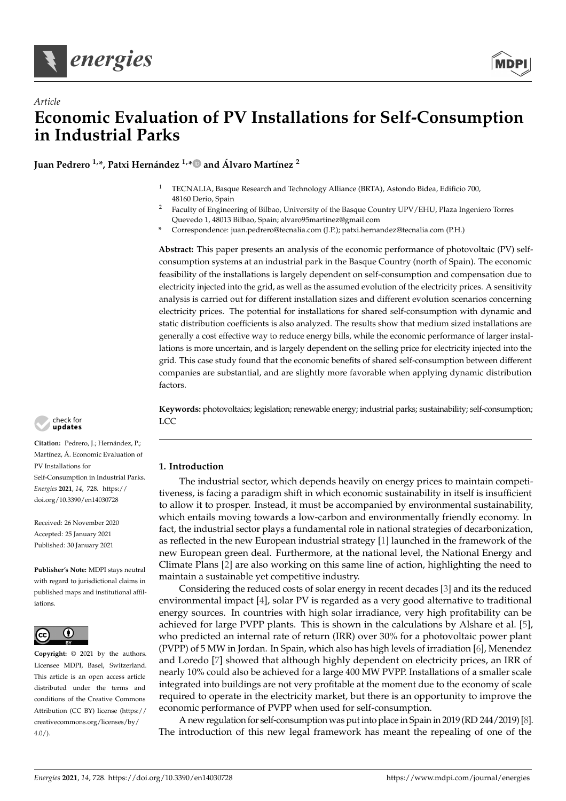

*Article*



# **Economic Evaluation of PV Installations for Self-Consumption in Industrial Parks**

**Juan Pedrero 1,\*, Patxi Hernández 1,\* and Álvaro Martínez <sup>2</sup>**

- <sup>1</sup> TECNALIA, Basque Research and Technology Alliance (BRTA), Astondo Bidea, Edificio 700, 48160 Derio, Spain
- <sup>2</sup> Faculty of Engineering of Bilbao, University of the Basque Country UPV/EHU, Plaza Ingeniero Torres Quevedo 1, 48013 Bilbao, Spain; alvaro95martinez@gmail.com
- **\*** Correspondence: juan.pedrero@tecnalia.com (J.P.); patxi.hernandez@tecnalia.com (P.H.)

**Abstract:** This paper presents an analysis of the economic performance of photovoltaic (PV) selfconsumption systems at an industrial park in the Basque Country (north of Spain). The economic feasibility of the installations is largely dependent on self-consumption and compensation due to electricity injected into the grid, as well as the assumed evolution of the electricity prices. A sensitivity analysis is carried out for different installation sizes and different evolution scenarios concerning electricity prices. The potential for installations for shared self-consumption with dynamic and static distribution coefficients is also analyzed. The results show that medium sized installations are generally a cost effective way to reduce energy bills, while the economic performance of larger installations is more uncertain, and is largely dependent on the selling price for electricity injected into the grid. This case study found that the economic benefits of shared self-consumption between different companies are substantial, and are slightly more favorable when applying dynamic distribution factors.

**Keywords:** photovoltaics; legislation; renewable energy; industrial parks; sustainability; self-consumption; LCC

## **1. Introduction**

The industrial sector, which depends heavily on energy prices to maintain competitiveness, is facing a paradigm shift in which economic sustainability in itself is insufficient to allow it to prosper. Instead, it must be accompanied by environmental sustainability, which entails moving towards a low-carbon and environmentally friendly economy. In fact, the industrial sector plays a fundamental role in national strategies of decarbonization, as reflected in the new European industrial strategy [1] launched in the framework of the new European green deal. Furthermore, at the national level, the National Energy and Climate Plans [2] are also working on this same line of action, highlighting the need to maintain a sustainable yet competitive industry.

Considering the reduced costs of solar energy in recent decades [3] and its the reduced environmental impact [4], solar PV is regarded as a very good alternative to traditional energy sources. In countries with high solar irradiance, very high profitability can be achieved for large PVPP plants. This is shown in the calculations by Alshare et al. [5], who predicted an internal rate of return (IRR) over 30% for a photovoltaic power plant (PVPP) of 5 MW in Jordan. In Spain, which also has high levels of irradiation [6], Menendez and Loredo [7] showed that although highly dependent on electricity prices, an IRR of nearly 10% could also be achieved for a large 400 MW PVPP. Installations of a smaller scale integrated into buildings are not very profitable at the moment due to the economy of scale required to operate in the electricity market, but there is an opportunity to improve the economic performance of PVPP when used for self-consumption.

A new regulation for self-consumption was put into place in Spain in 2019 (RD 244/2019) [8]. The introduction of this new legal framework has meant the repealing of one of the



**Citation:** Pedrero, J.; Hernández, P.; Martínez, Á. Economic Evaluation of PV Installations for Self-Consumption in Industrial Parks. *Energies* **2021**, *14*, 728. https:// doi.org/10.3390/en14030728

Received: 26 November 2020 Accepted: 25 January 2021 Published: 30 January 2021

**Publisher's Note:** MDPI stays neutral with regard to jurisdictional claims in published maps and institutional affiliations.



**Copyright:** © 2021 by the authors. Licensee MDPI, Basel, Switzerland. This article is an open access article distributed under the terms and conditions of the Creative Commons Attribution (CC BY) license (https:// creativecommons.org/licenses/by/ 4.0/).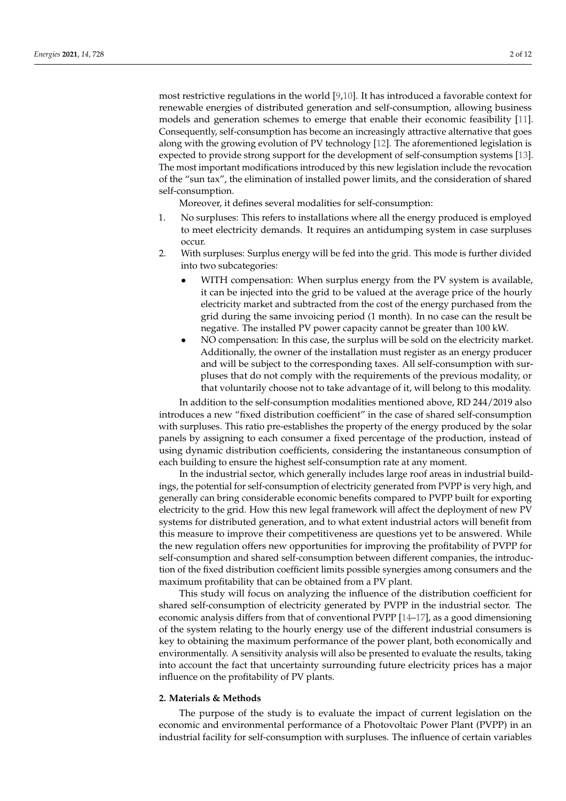most restrictive regulations in the world [9,10]. It has introduced a favorable context for renewable energies of distributed generation and self-consumption, allowing business models and generation schemes to emerge that enable their economic feasibility [11]. Consequently, self-consumption has become an increasingly attractive alternative that goes along with the growing evolution of PV technology [12]. The aforementioned legislation is expected to provide strong support for the development of self-consumption systems [13]. The most important modifications introduced by this new legislation include the revocation of the "sun tax", the elimination of installed power limits, and the consideration of shared self-consumption.

Moreover, it defines several modalities for self-consumption:

- 1. No surpluses: This refers to installations where all the energy produced is employed to meet electricity demands. It requires an antidumping system in case surpluses occur.
- 2. With surpluses: Surplus energy will be fed into the grid. This mode is further divided into two subcategories:
	- WITH compensation: When surplus energy from the PV system is available, it can be injected into the grid to be valued at the average price of the hourly electricity market and subtracted from the cost of the energy purchased from the grid during the same invoicing period (1 month). In no case can the result be negative. The installed PV power capacity cannot be greater than 100 kW.
	- NO compensation: In this case, the surplus will be sold on the electricity market. Additionally, the owner of the installation must register as an energy producer and will be subject to the corresponding taxes. All self-consumption with surpluses that do not comply with the requirements of the previous modality, or that voluntarily choose not to take advantage of it, will belong to this modality.

In addition to the self-consumption modalities mentioned above, RD 244/2019 also introduces a new "fixed distribution coefficient" in the case of shared self-consumption with surpluses. This ratio pre-establishes the property of the energy produced by the solar panels by assigning to each consumer a fixed percentage of the production, instead of using dynamic distribution coefficients, considering the instantaneous consumption of each building to ensure the highest self-consumption rate at any moment.

In the industrial sector, which generally includes large roof areas in industrial buildings, the potential for self-consumption of electricity generated from PVPP is very high, and generally can bring considerable economic benefits compared to PVPP built for exporting electricity to the grid. How this new legal framework will affect the deployment of new PV systems for distributed generation, and to what extent industrial actors will benefit from this measure to improve their competitiveness are questions yet to be answered. While the new regulation offers new opportunities for improving the profitability of PVPP for self-consumption and shared self-consumption between different companies, the introduction of the fixed distribution coefficient limits possible synergies among consumers and the maximum profitability that can be obtained from a PV plant.

This study will focus on analyzing the influence of the distribution coefficient for shared self-consumption of electricity generated by PVPP in the industrial sector. The economic analysis differs from that of conventional PVPP [14–17], as a good dimensioning of the system relating to the hourly energy use of the different industrial consumers is key to obtaining the maximum performance of the power plant, both economically and environmentally. A sensitivity analysis will also be presented to evaluate the results, taking into account the fact that uncertainty surrounding future electricity prices has a major influence on the profitability of PV plants.

#### **2. Materials & Methods**

The purpose of the study is to evaluate the impact of current legislation on the economic and environmental performance of a Photovoltaic Power Plant (PVPP) in an industrial facility for self-consumption with surpluses. The influence of certain variables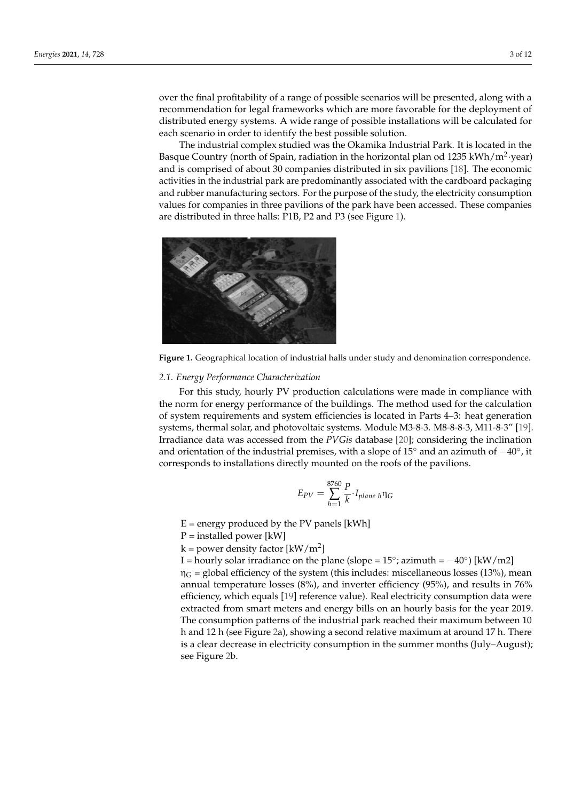over the final profitability of a range of possible scenarios will be presented, along with a recommendation for legal frameworks which are more favorable for the deployment of distributed energy systems. A wide range of possible installations will be calculated for each scenario in order to identify the best possible solution.

The industrial complex studied was the Okamika Industrial Park. It is located in the Basque Country (north of Spain, radiation in the horizontal plan od 1235 kWh/m<sup>2</sup>·year) and is comprised of about 30 companies distributed in six pavilions [18]. The economic activities in the industrial park are predominantly associated with the cardboard packaging and rubber manufacturing sectors. For the purpose of the study, the electricity consumption values for companies in three pavilions of the park have been accessed. These companies are distributed in three halls: P1B, P2 and P3 (see Figure 1).



**Figure 1.** Geographical location of industrial halls under study and denomination correspondence.

#### *2.1. Energy Performance Characterization*

and orientation of the industrial premises, with a slope of 15 $^{\circ}$  and an azimuth of  $-40^{\circ}$ , it For this study, hourly PV production calculations were made in compliance with the norm for energy performance of the buildings. The method used for the calculation of system requirements and system efficiencies is located in Parts 4–3: heat generation systems, thermal solar, and photovoltaic systems. Module M3-8-3. M8-8-8-3, M11-8-3" [19]. Irradiance data was accessed from the *PVGis* database [20]; considering the inclination corresponds to installations directly mounted on the roofs of the pavilions.

$$
E_{PV} = \sum_{h=1}^{8760} \frac{P}{k} \cdot I_{plane} \, h \eta_G
$$

 $E =$  energy produced by the PV panels [kWh]

 $P =$  installed power [kW]

 $k =$  power density factor  $[kW/m^2]$ 

I = hourly solar irradiance on the plane (slope =  $15^{\circ}$ ; azimuth =  $-40^{\circ}$ ) [kW/m2]

 $\eta_G$  = global efficiency of the system (this includes: miscellaneous losses (13%), mean annual temperature losses (8%), and inverter efficiency (95%), and results in 76% efficiency, which equals [19] reference value). Real electricity consumption data were extracted from smart meters and energy bills on an hourly basis for the year 2019. The consumption patterns of the industrial park reached their maximum between 10 h and 12 h (see Figure 2a), showing a second relative maximum at around 17 h. There is a clear decrease in electricity consumption in the summer months (July–August); see Figure 2b.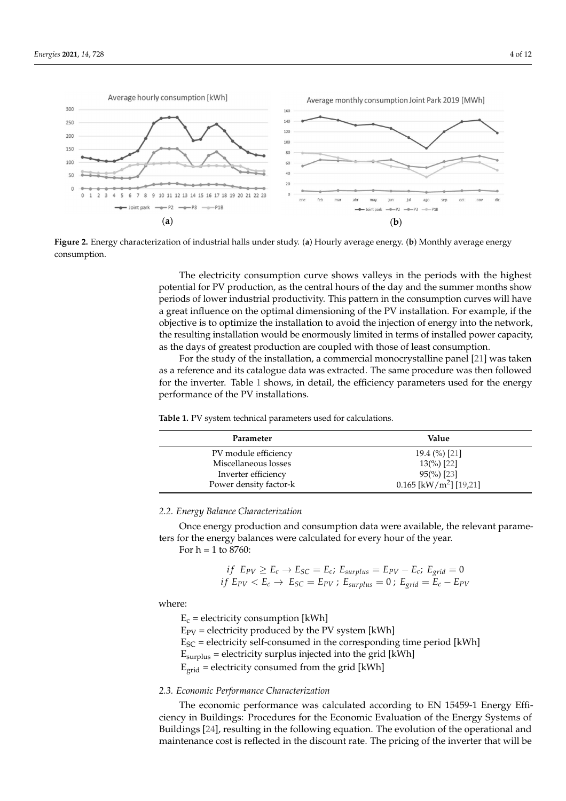

**Figure 2.** Energy characterization of industrial halls under study. (**a**) Hourly average energy. (**b**) Monthly average energy consumption.

The electricity consumption curve shows valleys in the periods with the highest potential for PV production, as the central hours of the day and the summer months show periods of lower industrial productivity. This pattern in the consumption curves will have a great influence on the optimal dimensioning of the PV installation. For example, if the objective is to optimize the installation to avoid the injection of energy into the network, the resulting installation would be enormously limited in terms of installed power capacity, as the days of greatest production are coupled with those of least consumption.

For the study of the installation, a commercial monocrystalline panel [21] was taken as a reference and its catalogue data was extracted. The same procedure was then followed for the inverter. Table 1 shows, in detail, the efficiency parameters used for the energy performance of the PV installations.

**Table 1.** PV system technical parameters used for calculations.

| Parameter              | Value                                |
|------------------------|--------------------------------------|
| PV module efficiency   | 19.4 $(\%)$ [21]                     |
| Miscellaneous losses   | $13\frac{6}{6}$ [22]                 |
| Inverter efficiency    | $95\binom{9}{0}$ [23]                |
| Power density factor-k | $0.165$ [kW/m <sup>2</sup> ] [19,21] |

*2.2. Energy Balance Characterization*

Once energy production and consumption data were available, the relevant parameters for the energy balances were calculated for every hour of the year.

For  $h = 1$  to 8760:

$$
if E_{PV} \ge E_c \rightarrow E_{SC} = E_c; E_{surplus} = E_{PV} - E_c; E_{grid} = 0
$$
  

$$
if E_{PV} < E_c \rightarrow E_{SC} = E_{PV}; E_{surplus} = 0; E_{grid} = E_c - E_{PV}
$$

where:

 $E_c$  = electricity consumption [kWh]  $E_{PV}$  = electricity produced by the PV system [kWh]  $E_{SC}$  = electricity self-consumed in the corresponding time period [kWh]  $E_{surplus}$  = electricity surplus injected into the grid [kWh]  $E_{grid}$  = electricity consumed from the grid [kWh]

## *2.3. Economic Performance Characterization*

The economic performance was calculated according to EN 15459-1 Energy Efficiency in Buildings: Procedures for the Economic Evaluation of the Energy Systems of Buildings [24], resulting in the following equation. The evolution of the operational and maintenance cost is reflected in the discount rate. The pricing of the inverter that will be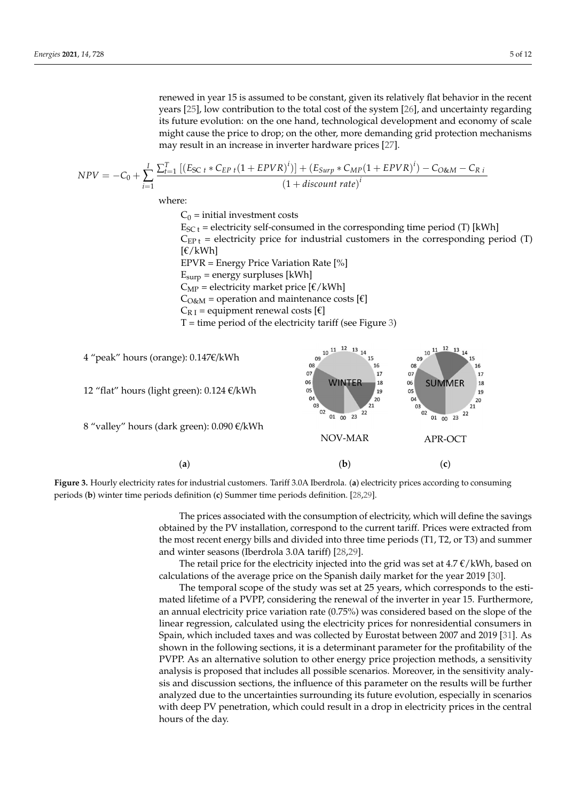renewed in year 15 is assumed to be constant, given its relatively flat behavior in the recent years [25], low contribution to the total cost of the system [26], and uncertainty regarding its future evolution: on the one hand, technological development and economy of scale<br>might cause the price to drop; on the other more demanding grid protection mechanisms might cause the price to drop; on the other, more demanding grid protection mechanisms may result in an increase in inverter hardware prices [27].

$$
NPV = -C_0 + \sum_{i=1}^{I} \frac{\sum_{t=1}^{T} \left[ \left( E_{SC\ t} * C_{EP\ t} (1 + EPVR)^i \right) \right] + \left( E_{Surp} * C_{MP} (1 + EPVR)^i \right) - C_{O\&M} - C_{R\ i}}{\left( 1 + discount\ rate \right)^i}
$$

where:

 $C_0$  = initial investment costs

 $E_{SC t}$  = electricity self-consumed in the corresponding time period (T) [kWh]  $C_{EP t}$  = electricity price for industrial customers in the corresponding period (T)  $[\mathsf{E}/kWh]$ EPVR = Energy Price Variation Rate [%]  $E<sub>surp</sub>$  = energy surpluses [kWh]  $C_{MP}$  = electricity market price [ $\epsilon$ /kWh]  $C<sub>O&M</sub>$  = operation and maintenance costs [ $\epsilon$ ]

 $C_{R,I}$  = equipment renewal costs [ $\epsilon$ ]

 $T =$  time period of the electricity tariff (see Figure 3)



**Figure 3.** Hourly electricity rates for industrial customers. Tariff 3.0A Iberdrola. (**a**) electricity prices according to consuming periods (**b**) winter time periods definition (**c**) Summer time periods definition. [28,29].

The prices associated with the consumption of electricity, which will define the savings obtained by the PV installation, correspond to the current tariff. Prices were extracted from the most recent energy bills and divided into three time periods (T1, T2, or T3) and summer and winter seasons (Iberdrola 3.0A tariff) [28,29].

The retail price for the electricity injected into the grid was set at  $4.7 \text{ }\epsilon$ /kWh, based on calculations of the average price on the Spanish daily market for the year 2019 [30].

The temporal scope of the study was set at 25 years, which corresponds to the estimated lifetime of a PVPP, considering the renewal of the inverter in year 15. Furthermore, an annual electricity price variation rate (0.75%) was considered based on the slope of the linear regression, calculated using the electricity prices for nonresidential consumers in Spain, which included taxes and was collected by Eurostat between 2007 and 2019 [31]. As shown in the following sections, it is a determinant parameter for the profitability of the PVPP. As an alternative solution to other energy price projection methods, a sensitivity analysis is proposed that includes all possible scenarios. Moreover, in the sensitivity analysis and discussion sections, the influence of this parameter on the results will be further analyzed due to the uncertainties surrounding its future evolution, especially in scenarios with deep PV penetration, which could result in a drop in electricity prices in the central hours of the day.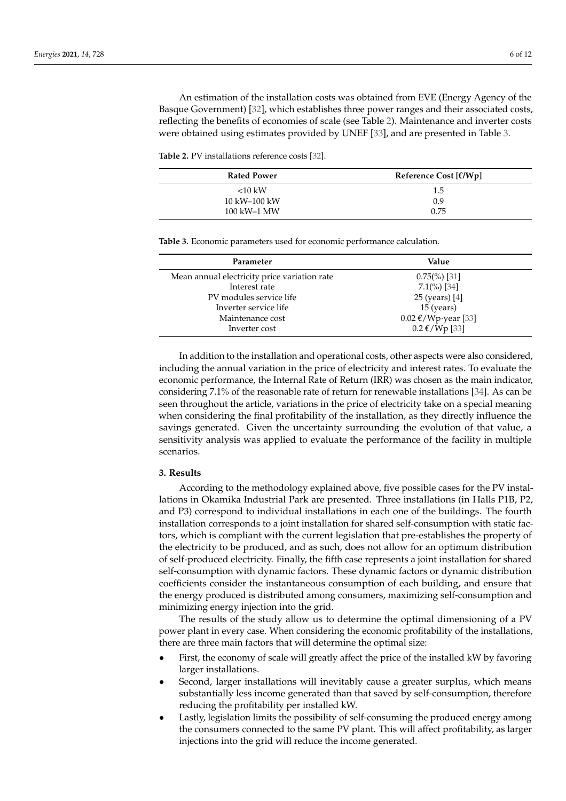An estimation of the installation costs was obtained from EVE (Energy Agency of the Basque Government) [32], which establishes three power ranges and their associated costs, reflecting the benefits of economies of scale (see Table 2). Maintenance and inverter costs were obtained using estimates provided by UNEF [33], and are presented in Table 3.

**Table 2.** PV installations reference costs [32].

| <b>Rated Power</b> | Reference Cost $E/Wp$ ] |
|--------------------|-------------------------|
| $<10$ kW           | 1.5                     |
| 10 kW–100 kW       | 0.9                     |
| 100 kW-1 MW        | 0.75                    |

**Table 3.** Economic parameters used for economic performance calculation.

| Parameter                                    | Value                         |
|----------------------------------------------|-------------------------------|
| Mean annual electricity price variation rate | $0.75\frac{\%}{\%}\$ [31]     |
| Interest rate                                | $7.1\frac{\%}{\%}$ [34]       |
| PV modules service life                      | 25 (years) [4]                |
| Inverter service life                        | $15$ (years)                  |
| Maintenance cost                             | $0.02 \text{ €}/Wp$ year [33] |
| Inverter cost                                | $0.2 \text{ €}/Wp$ [33]       |

In addition to the installation and operational costs, other aspects were also considered, including the annual variation in the price of electricity and interest rates. To evaluate the economic performance, the Internal Rate of Return (IRR) was chosen as the main indicator, considering 7.1% of the reasonable rate of return for renewable installations [34]. As can be seen throughout the article, variations in the price of electricity take on a special meaning when considering the final profitability of the installation, as they directly influence the savings generated. Given the uncertainty surrounding the evolution of that value, a sensitivity analysis was applied to evaluate the performance of the facility in multiple scenarios.

### **3. Results**

According to the methodology explained above, five possible cases for the PV installations in Okamika Industrial Park are presented. Three installations (in Halls P1B, P2, and P3) correspond to individual installations in each one of the buildings. The fourth installation corresponds to a joint installation for shared self-consumption with static factors, which is compliant with the current legislation that pre-establishes the property of the electricity to be produced, and as such, does not allow for an optimum distribution of self-produced electricity. Finally, the fifth case represents a joint installation for shared self-consumption with dynamic factors. These dynamic factors or dynamic distribution coefficients consider the instantaneous consumption of each building, and ensure that the energy produced is distributed among consumers, maximizing self-consumption and minimizing energy injection into the grid.

The results of the study allow us to determine the optimal dimensioning of a PV power plant in every case. When considering the economic profitability of the installations, there are three main factors that will determine the optimal size:

- First, the economy of scale will greatly affect the price of the installed kW by favoring larger installations.
- Second, larger installations will inevitably cause a greater surplus, which means substantially less income generated than that saved by self-consumption, therefore reducing the profitability per installed kW.
- Lastly, legislation limits the possibility of self-consuming the produced energy among the consumers connected to the same PV plant. This will affect profitability, as larger injections into the grid will reduce the income generated.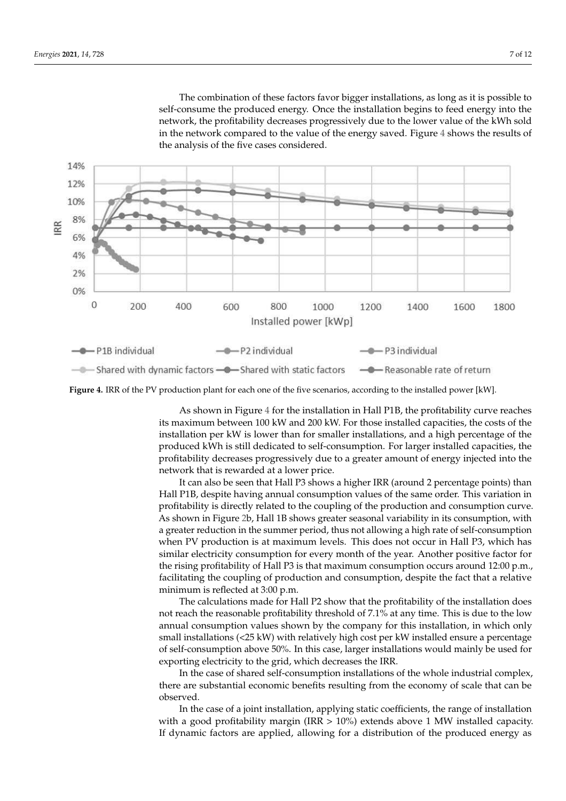The combination of these factors favor bigger installations, as long as it is possible to self-consume the produced energy. Once the installation begins to feed energy into the network, the profitability decreases progressively due to the lower value of the kWh sold in the network compared to the value of the energy saved. Figure 4 shows the results of the analysis of the five cases considered.



**Figure 4.** IRR of the PV production plant for each one of the five scenarios, according to the installed power [kW].

As shown in Figure 4 for the installation in Hall P1B, the profitability curve reaches its maximum between 100 kW and 200 kW. For those installed capacities, the costs of the installation per kW is lower than for smaller installations, and a high percentage of the produced kWh is still dedicated to self-consumption. For larger installed capacities, the profitability decreases progressively due to a greater amount of energy injected into the network that is rewarded at a lower price.

It can also be seen that Hall P3 shows a higher IRR (around 2 percentage points) than Hall P1B, despite having annual consumption values of the same order. This variation in profitability is directly related to the coupling of the production and consumption curve. As shown in Figure 2b, Hall 1B shows greater seasonal variability in its consumption, with a greater reduction in the summer period, thus not allowing a high rate of self-consumption when PV production is at maximum levels. This does not occur in Hall P3, which has similar electricity consumption for every month of the year. Another positive factor for the rising profitability of Hall P3 is that maximum consumption occurs around 12:00 p.m., facilitating the coupling of production and consumption, despite the fact that a relative minimum is reflected at 3:00 p.m.

The calculations made for Hall P2 show that the profitability of the installation does not reach the reasonable profitability threshold of 7.1% at any time. This is due to the low annual consumption values shown by the company for this installation, in which only small installations (<25 kW) with relatively high cost per kW installed ensure a percentage of self-consumption above 50%. In this case, larger installations would mainly be used for exporting electricity to the grid, which decreases the IRR.

In the case of shared self-consumption installations of the whole industrial complex, there are substantial economic benefits resulting from the economy of scale that can be observed.

In the case of a joint installation, applying static coefficients, the range of installation with a good profitability margin (IRR  $> 10\%$ ) extends above 1 MW installed capacity. If dynamic factors are applied, allowing for a distribution of the produced energy as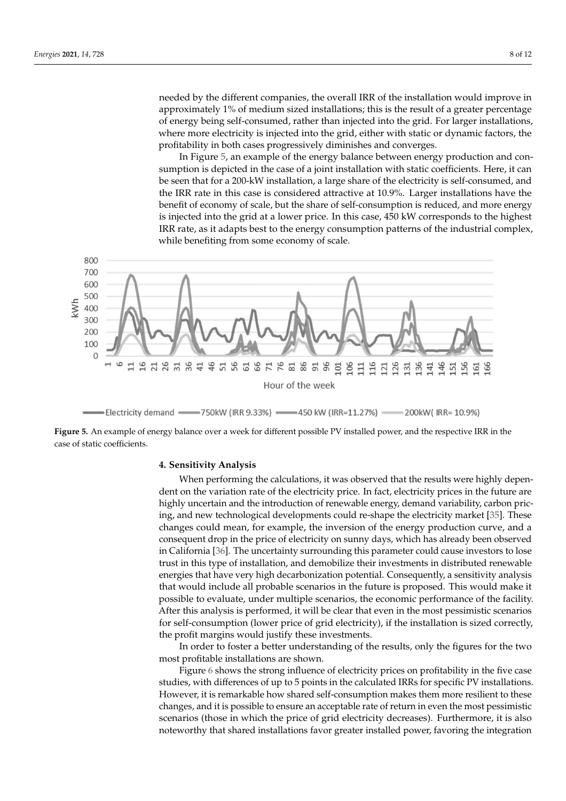needed by the different companies, the overall IRR of the installation would improve in approximately 1% of medium sized installations; this is the result of a greater percentage of energy being self-consumed, rather than injected into the grid. For larger installations, where more electricity is injected into the grid, either with static or dynamic factors, the profitability in both cases progressively diminishes and converges.

In Figure 5, an example of the energy balance between energy production and consumption is depicted in the case of a joint installation with static coefficients. Here, it can be seen that for a 200-kW installation, a large share of the electricity is self-consumed, and the IRR rate in this case is considered attractive at 10.9%. Larger installations have the benefit of economy of scale, but the share of self-consumption is reduced, and more energy is injected into the grid at a lower price. In this case, 450 kW corresponds to the highest IRR rate, as it adapts best to the energy consumption patterns of the industrial complex, while benefiting from some economy of scale.



Electricity demand - 750kW (IRR 9.33%) - 450 kW (IRR=11.27%)  $= 200$ kW(IRR=10.9%)

**Figure 5.** An example of energy balance over a week for different possible PV installed power, and the respective IRR in the case of static coefficients.

## **4. Sensitivity Analysis**

When performing the calculations, it was observed that the results were highly dependent on the variation rate of the electricity price. In fact, electricity prices in the future are highly uncertain and the introduction of renewable energy, demand variability, carbon pricing, and new technological developments could re-shape the electricity market [35]. These changes could mean, for example, the inversion of the energy production curve, and a consequent drop in the price of electricity on sunny days, which has already been observed in California [36]. The uncertainty surrounding this parameter could cause investors to lose trust in this type of installation, and demobilize their investments in distributed renewable energies that have very high decarbonization potential. Consequently, a sensitivity analysis that would include all probable scenarios in the future is proposed. This would make it possible to evaluate, under multiple scenarios, the economic performance of the facility. After this analysis is performed, it will be clear that even in the most pessimistic scenarios for self-consumption (lower price of grid electricity), if the installation is sized correctly, the profit margins would justify these investments.

In order to foster a better understanding of the results, only the figures for the two most profitable installations are shown.

Figure 6 shows the strong influence of electricity prices on profitability in the five case studies, with differences of up to 5 points in the calculated IRRs for specific PV installations. However, it is remarkable how shared self-consumption makes them more resilient to these changes, and it is possible to ensure an acceptable rate of return in even the most pessimistic scenarios (those in which the price of grid electricity decreases). Furthermore, it is also noteworthy that shared installations favor greater installed power, favoring the integration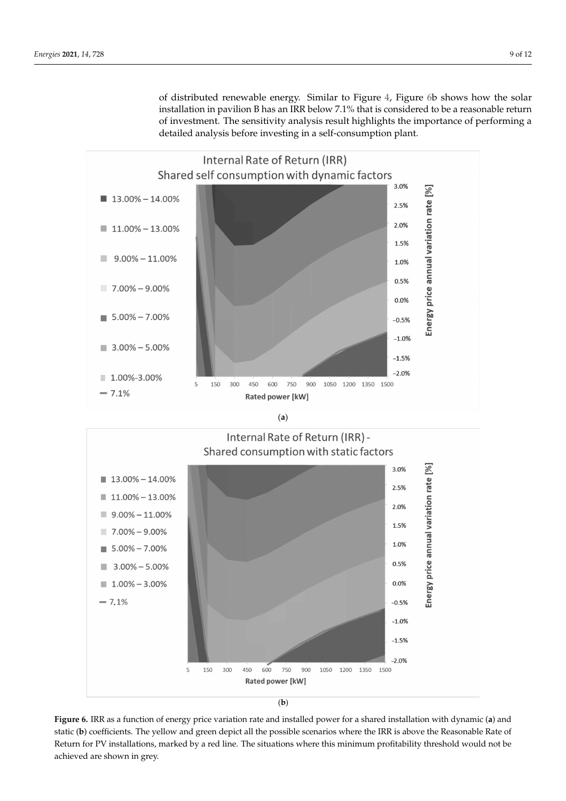of distributed renewable energy. Similar to Figure 4, Figure 6b shows how the solar installation in pavilion B has an IRR below 7.1% that is considered to be a reasonable return of investment. The sensitivity analysis result highlights the importance of performing a detailed analysis before investing in a self-consumption plant.



(**a**)



<sup>(</sup>**b**)

**Figure 6.** IRR as a function of energy price variation rate and installed power for a shared installation with dynamic (**a**) and static (**b**) coefficients. The yellow and green depict all the possible scenarios where the IRR is above the Reasonable Rate of Return for PV installations, marked by a red line. The situations where this minimum profitability threshold would not be achieved are shown in grey.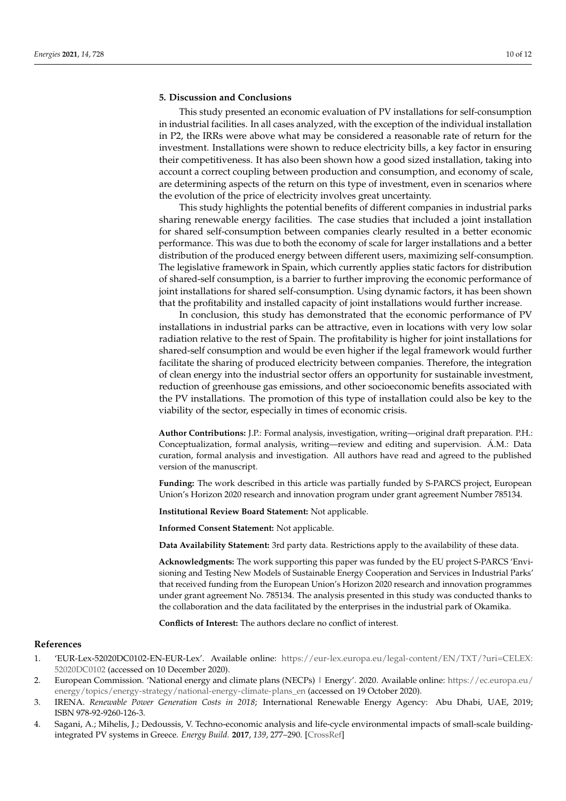## **5. Discussion and Conclusions**

This study presented an economic evaluation of PV installations for self-consumption in industrial facilities. In all cases analyzed, with the exception of the individual installation in P2, the IRRs were above what may be considered a reasonable rate of return for the investment. Installations were shown to reduce electricity bills, a key factor in ensuring their competitiveness. It has also been shown how a good sized installation, taking into account a correct coupling between production and consumption, and economy of scale, are determining aspects of the return on this type of investment, even in scenarios where the evolution of the price of electricity involves great uncertainty.

This study highlights the potential benefits of different companies in industrial parks sharing renewable energy facilities. The case studies that included a joint installation for shared self-consumption between companies clearly resulted in a better economic performance. This was due to both the economy of scale for larger installations and a better distribution of the produced energy between different users, maximizing self-consumption. The legislative framework in Spain, which currently applies static factors for distribution of shared-self consumption, is a barrier to further improving the economic performance of joint installations for shared self-consumption. Using dynamic factors, it has been shown that the profitability and installed capacity of joint installations would further increase.

In conclusion, this study has demonstrated that the economic performance of PV installations in industrial parks can be attractive, even in locations with very low solar radiation relative to the rest of Spain. The profitability is higher for joint installations for shared-self consumption and would be even higher if the legal framework would further facilitate the sharing of produced electricity between companies. Therefore, the integration of clean energy into the industrial sector offers an opportunity for sustainable investment, reduction of greenhouse gas emissions, and other socioeconomic benefits associated with the PV installations. The promotion of this type of installation could also be key to the viability of the sector, especially in times of economic crisis.

**Author Contributions:** J.P.: Formal analysis, investigation, writing—original draft preparation. P.H.: Conceptualization, formal analysis, writing—review and editing and supervision. Á.M.: Data curation, formal analysis and investigation. All authors have read and agreed to the published version of the manuscript.

**Funding:** The work described in this article was partially funded by S-PARCS project, European Union's Horizon 2020 research and innovation program under grant agreement Number 785134.

**Institutional Review Board Statement:** Not applicable.

**Informed Consent Statement:** Not applicable.

**Data Availability Statement:** 3rd party data. Restrictions apply to the availability of these data.

**Acknowledgments:** The work supporting this paper was funded by the EU project S-PARCS 'Envisioning and Testing New Models of Sustainable Energy Cooperation and Services in Industrial Parks' that received funding from the European Union's Horizon 2020 research and innovation programmes under grant agreement No. 785134. The analysis presented in this study was conducted thanks to the collaboration and the data facilitated by the enterprises in the industrial park of Okamika.

**Conflicts of Interest:** The authors declare no conflict of interest.

#### **References**

- 1. 'EUR-Lex-52020DC0102-EN-EUR-Lex'. Available online: https://eur-lex.europa.eu/legal-content/EN/TXT/?uri=CELEX: 52020DC0102 (accessed on 10 December 2020).
- 2. European Commission. 'National energy and climate plans (NECPs) | Energy'. 2020. Available online: https://ec.europa.eu/ energy/topics/energy-strategy/national-energy-climate-plans\_en (accessed on 19 October 2020).
- 3. IRENA. *Renewable Power Generation Costs in 2018*; International Renewable Energy Agency: Abu Dhabi, UAE, 2019; ISBN 978-92-9260-126-3.
- 4. Sagani, A.; Mihelis, J.; Dedoussis, V. Techno-economic analysis and life-cycle environmental impacts of small-scale buildingintegrated PV systems in Greece. *Energy Build.* **2017**, *139*, 277–290. [CrossRef]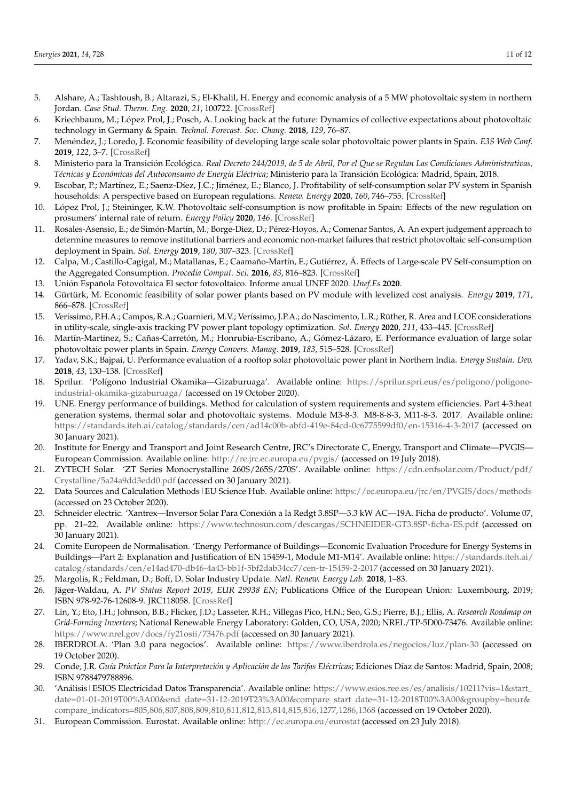- 5. Alshare, A.; Tashtoush, B.; Altarazi, S.; El-Khalil, H. Energy and economic analysis of a 5 MW photovoltaic system in northern Jordan. *Case Stud. Therm. Eng.* **2020**, *21*, 100722. [CrossRef]
- 6. Kriechbaum, M.; López Prol, J.; Posch, A. Looking back at the future: Dynamics of collective expectations about photovoltaic technology in Germany & Spain. *Technol. Forecast. Soc. Chang.* **2018**, *129*, 76–87.
- 7. Menéndez, J.; Loredo, J. Economic feasibility of developing large scale solar photovoltaic power plants in Spain. *E3S Web Conf.* **2019**, *122*, 3–7. [CrossRef]
- 8. Ministerio para la Transición Ecológica. *Real Decreto 244/2019, de 5 de Abril, Por el Que se Regulan Las Condiciones Administrativas, Técnicas y Económicas del Autoconsumo de Energía Eléctrica*; Ministerio para la Transición Ecológica: Madrid, Spain, 2018.
- 9. Escobar, P.; Martínez, E.; Saenz-Díez, J.C.; Jiménez, E.; Blanco, J. Profitability of self-consumption solar PV system in Spanish households: A perspective based on European regulations. *Renew. Energy* **2020**, *160*, 746–755. [CrossRef]
- 10. López Prol, J.; Steininger, K.W. Photovoltaic self-consumption is now profitable in Spain: Effects of the new regulation on prosumers' internal rate of return. *Energy Policy* **2020**, *146*. [CrossRef]
- 11. Rosales-Asensio, E.; de Simón-Martín, M.; Borge-Diez, D.; Pérez-Hoyos, A.; Comenar Santos, A. An expert judgement approach to determine measures to remove institutional barriers and economic non-market failures that restrict photovoltaic self-consumption deployment in Spain. *Sol. Energy* **2019**, *180*, 307–323. [CrossRef]
- 12. Calpa, M.; Castillo-Cagigal, M.; Matallanas, E.; Caamaño-Martín, E.; Gutiérrez, Á. Effects of Large-scale PV Self-consumption on the Aggregated Consumption. *Procedia Comput. Sci.* **2016**, *83*, 816–823. [CrossRef]
- 13. Unión Española Fotovoltaica El sector fotovoltaico. Informe anual UNEF 2020. *Unef.Es* **2020**.
- 14. Gürtürk, M. Economic feasibility of solar power plants based on PV module with levelized cost analysis. *Energy* **2019**, *171*, 866–878. [CrossRef]
- 15. Veríssimo, P.H.A.; Campos, R.A.; Guarnieri, M.V.; Veríssimo, J.P.A.; do Nascimento, L.R.; Rüther, R. Area and LCOE considerations in utility-scale, single-axis tracking PV power plant topology optimization. *Sol. Energy* **2020**, *211*, 433–445. [CrossRef]
- 16. Martín-Martínez, S.; Cañas-Carretón, M.; Honrubia-Escribano, A.; Gómez-Lázaro, E. Performance evaluation of large solar photovoltaic power plants in Spain. *Energy Convers. Manag.* **2019**, *183*, 515–528. [CrossRef]
- 17. Yadav, S.K.; Bajpai, U. Performance evaluation of a rooftop solar photovoltaic power plant in Northern India. *Energy Sustain. Dev.* **2018**, *43*, 130–138. [CrossRef]
- 18. Sprilur. 'Polígono Industrial Okamika—Gizaburuaga'. Available online: https://sprilur.spri.eus/es/poligono/poligonoindustrial-okamika-gizaburuaga/ (accessed on 19 October 2020).
- 19. UNE. Energy performance of buildings. Method for calculation of system requirements and system efficiencies. Part 4-3:heat generation systems, thermal solar and photovoltaic systems. Module M3-8-3. M8-8-8-3, M11-8-3. 2017. Available online: https://standards.iteh.ai/catalog/standards/cen/ad14c00b-abfd-419e-84cd-0c6775599df0/en-15316-4-3-2017 (accessed on 30 January 2021).
- 20. Institute for Energy and Transport and Joint Research Centre, JRC's Directorate C, Energy, Transport and Climate—PVGIS— European Commission. Available online: http://re.jrc.ec.europa.eu/pvgis/ (accessed on 19 July 2018).
- 21. ZYTECH Solar. 'ZT Series Monocrystalline 260S/265S/270S'. Available online: https://cdn.enfsolar.com/Product/pdf/ Crystalline/5a24a9dd3edd0.pdf (accessed on 30 January 2021).
- 22. Data Sources and Calculation Methods | EU Science Hub. Available online: https://ec.europa.eu/jrc/en/PVGIS/docs/methods (accessed on 23 October 2020).
- 23. Schneider electric. 'Xantrex—Inversor Solar Para Conexión a la Redgt 3.8SP—3.3 kW AC—19A. Ficha de producto'. Volume 07, pp. 21–22. Available online: https://www.technosun.com/descargas/SCHNEIDER-GT3.8SP-ficha-ES.pdf (accessed on 30 January 2021).
- 24. Comite Europeen de Normalisation. 'Energy Performance of Buildings—Economic Evaluation Procedure for Energy Systems in Buildings—Part 2: Explanation and Justification of EN 15459-1, Module M1-M14'. Available online: https://standards.iteh.ai/ catalog/standards/cen/e14ad470-db46-4a43-bb1f-5bf2dab34cc7/cen-tr-15459-2-2017 (accessed on 30 January 2021).
- 25. Margolis, R.; Feldman, D.; Boff, D. Solar Industry Update. *Natl. Renew. Energy Lab.* **2018**, 1–83.
- 26. Jäger-Waldau, A. *PV Status Report 2019, EUR 29938 EN*; Publications Office of the European Union: Luxembourg, 2019; ISBN 978-92-76-12608-9. JRC118058. [CrossRef]
- 27. Lin, Y.; Eto, J.H.; Johnson, B.B.; Flicker, J.D.; Lasseter, R.H.; Villegas Pico, H.N.; Seo, G.S.; Pierre, B.J.; Ellis, A. *Research Roadmap on Grid-Forming Inverters*; National Renewable Energy Laboratory: Golden, CO, USA, 2020; NREL/TP-5D00-73476. Available online: https://www.nrel.gov/docs/fy21osti/73476.pdf (accessed on 30 January 2021).
- 28. IBERDROLA. 'Plan 3.0 para negocios'. Available online: https://www.iberdrola.es/negocios/luz/plan-30 (accessed on 19 October 2020).
- 29. Conde, J.R. *Guía Práctica Para la Interpretación y Aplicación de las Tarifas Eléctricas*; Ediciones Díaz de Santos: Madrid, Spain, 2008; ISBN 9788479788896.
- 30. 'Análisis|ESIOS Electricidad Datos Transparencia'. Available online: https://www.esios.ree.es/es/analisis/10211?vis=1&start\_ date=01-01-2019T00%3A00&end\_date=31-12-2019T23%3A00&compare\_start\_date=31-12-2018T00%3A00&groupby=hour& compare\_indicators=805,806,807,808,809,810,811,812,813,814,815,816,1277,1286,1368 (accessed on 19 October 2020).
- 31. European Commission. Eurostat. Available online: http://ec.europa.eu/eurostat (accessed on 23 July 2018).